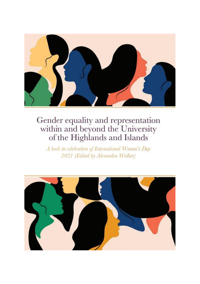

A book in celebration of International Women's Day 2021 (Edited by Alexandra Walker)

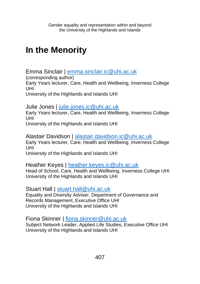# **In the Menority**

Emma Sinclair | [emma.sinclair.ic@uhi.ac.uk](mailto:emma.sinclair.ic@uhi.ac.uk)

(corresponding author)

Early Years lecturer, Care, Health and Wellbeing, Inverness College UHI

University of the Highlands and Islands UHI

Julie Jones | [julie.jones.ic@uhi.ac.uk](mailto:julie.jones.ic@uhi.ac.uk)

Early Years lecturer, Care, Health and Wellbeing, Inverness College UHI

University of the Highlands and Islands UHI

Alastair Davidson | [alastair.davidson.ic@uhi.ac.uk](mailto:alastair.davidson.ic@uhi.ac.uk) Early Years lecturer, Care, Health and Wellbeing, Inverness College UHI University of the Highlands and Islands UHI

Heather Keyes | [heather.keyes.ic@uhi.ac.uk](mailto:Heather.keyes.ic@uhi.ac.uk) Head of School, Care, Health and Wellbeing, Inverness College UHI University of the Highlands and Islands UHI

Stuart Hall | [stuart.hall@uhi.ac.uk](mailto:stuart.hall@uhi.ac.uk)

Equality and Diversity Adviser, Department of Governance and Records Management, Executive Office UHI University of the Highlands and Islands UHI

Fiona Skinner | [fiona.skinner@uhi.ac.uk](mailto:fiona.skinner@uhi.ac.uk) Subject Network Leader, Applied Life Studies, Executive Office UHI University of the Highlands and Islands UHI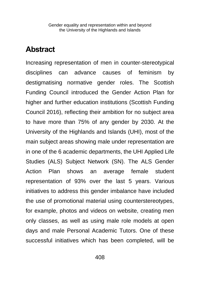## **Abstract**

Increasing representation of men in counter-stereotypical disciplines can advance causes of feminism by destigmatising normative gender roles. The Scottish Funding Council introduced the Gender Action Plan for higher and further education institutions (Scottish Funding Council 2016), reflecting their ambition for no subject area to have more than 75% of any gender by 2030. At the University of the Highlands and Islands (UHI), most of the main subject areas showing male under representation are in one of the 6 academic departments, the UHI Applied Life Studies (ALS) Subject Network (SN). The ALS Gender Action Plan shows an average female student representation of 93% over the last 5 years. Various initiatives to address this gender imbalance have included the use of promotional material using counterstereotypes, for example, photos and videos on website, creating men only classes, as well as using male role models at open days and male Personal Academic Tutors. One of these successful initiatives which has been completed, will be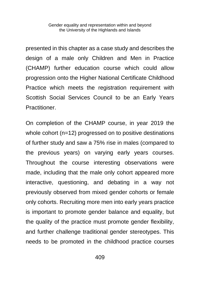presented in this chapter as a case study and describes the design of a male only Children and Men in Practice (CHAMP) further education course which could allow progression onto the Higher National Certificate Childhood Practice which meets the registration requirement with Scottish Social Services Council to be an Early Years Practitioner.

On completion of the CHAMP course, in year 2019 the whole cohort (n=12) progressed on to positive destinations of further study and saw a 75% rise in males (compared to the previous years) on varying early years courses. Throughout the course interesting observations were made, including that the male only cohort appeared more interactive, questioning, and debating in a way not previously observed from mixed gender cohorts or female only cohorts. Recruiting more men into early years practice is important to promote gender balance and equality, but the quality of the practice must promote gender flexibility, and further challenge traditional gender stereotypes. This needs to be promoted in the childhood practice courses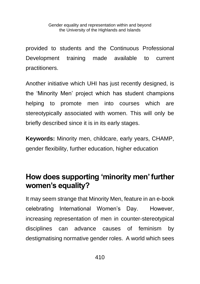provided to students and the Continuous Professional Development training made available to current practitioners.

Another initiative which UHI has just recently designed, is the 'Minority Men' project which has student champions helping to promote men into courses which are stereotypically associated with women. This will only be briefly described since it is in its early stages.

**Keywords:** Minority men, childcare, early years, CHAMP, gender flexibility, further education, higher education

# **How does supporting 'minority men' further women's equality?**

It may seem strange that Minority Men, feature in an e-book celebrating International Women's Day. However, increasing representation of men in counter-stereotypical disciplines can advance causes of feminism by destigmatising normative gender roles. A world which sees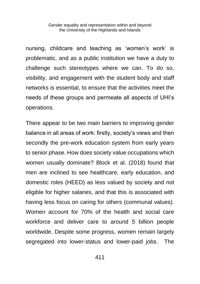nursing, childcare and teaching as 'women's work' is problematic, and as a public institution we have a duty to challenge such stereotypes where we can. To do so, visibility, and engagement with the student body and staff networks is essential, to ensure that the activities meet the needs of these groups and permeate all aspects of UHI's operations.

There appear to be two main barriers to improving gender balance in all areas of work: firstly, society's views and then secondly the pre-work education system from early years to senior phase. How does society value occupations which women usually dominate? Block et al. (2018) found that men are inclined to see healthcare, early education, and domestic roles (HEED) as less valued by society and not eligible for higher salaries, and that this is associated with having less focus on caring for others (communal values). Women account for 70% of the health and social care workforce and deliver care to around 5 billion people worldwide. Despite some progress, women remain largely segregated into lower-status and lower-paid jobs. The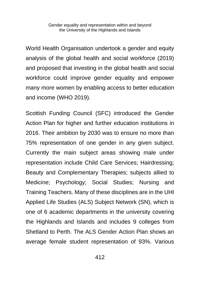World Health Organisation undertook a gender and equity analysis of the global health and social workforce (2019) and proposed that investing in the global health and social workforce could improve gender equality and empower many more women by enabling access to better education and income (WHO 2019).

Scottish Funding Council (SFC) introduced the Gender Action Plan for higher and further education institutions in 2016. Their ambition by 2030 was to ensure no more than 75% representation of one gender in any given subject. Currently the main subject areas showing male under representation include Child Care Services; Hairdressing; Beauty and Complementary Therapies; subjects allied to Medicine; Psychology; Social Studies; Nursing and Training Teachers. Many of these disciplines are in the UHI Applied Life Studies (ALS) Subject Network (SN), which is one of 6 academic departments in the university covering the Highlands and Islands and includes 9 colleges from Shetland to Perth. The ALS Gender Action Plan shows an average female student representation of 93%. Various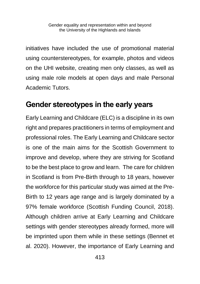initiatives have included the use of promotional material using counterstereotypes, for example, photos and videos on the UHI website, creating men only classes, as well as using male role models at open days and male Personal Academic Tutors.

## **Gender stereotypes in the early years**

Early Learning and Childcare (ELC) is a discipline in its own right and prepares practitioners in terms of employment and professional roles. The Early Learning and Childcare sector is one of the main aims for the Scottish Government to improve and develop, where they are striving for Scotland to be the best place to grow and learn. The care for children in Scotland is from Pre-Birth through to 18 years, however the workforce for this particular study was aimed at the Pre-Birth to 12 years age range and is largely dominated by a 97% female workforce (Scottish Funding Council, 2018). Although children arrive at Early Learning and Childcare settings with gender stereotypes already formed, more will be imprinted upon them while in these settings (Bennet et al. 2020). However, the importance of Early Learning and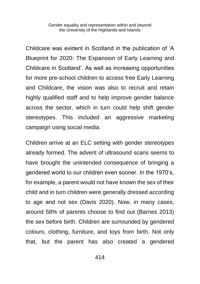Childcare was evident in Scotland in the publication of 'A Blueprint for 2020: The Expansion of Early Learning and Childcare in Scotland'. As well as increasing opportunities for more pre-school children to access free Early Learning and Childcare, the vision was also to recruit and retain highly qualified staff and to help improve gender balance across the sector, which in turn could help shift gender stereotypes. This included an aggressive marketing campaign using social media.

Children arrive at an ELC setting with gender stereotypes already formed. The advent of ultrasound scans seems to have brought the unintended consequence of bringing a gendered world to our children even sooner. In the 1970's, for example, a parent would not have known the sex of their child and in turn children were generally dressed according to age and not sex (Davis 2020). Now, in many cases, around 58% of parents choose to find out (Barnes 2013) the sex before birth. Children are surrounded by gendered colours, clothing, furniture, and toys from birth. Not only that, but the parent has also created a gendered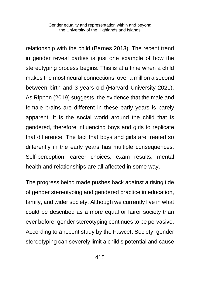relationship with the child (Barnes 2013). The recent trend in gender reveal parties is just one example of how the stereotyping process begins. This is at a time when a child makes the most neural connections, over a million a second between birth and 3 years old (Harvard University 2021). As Rippon (2019) suggests, the evidence that the male and female brains are different in these early years is barely apparent. It is the social world around the child that is gendered, therefore influencing boys and girls to replicate that difference. The fact that boys and girls are treated so differently in the early years has multiple consequences. Self-perception, career choices, exam results, mental health and relationships are all affected in some way.

The progress being made pushes back against a rising tide of gender stereotyping and gendered practice in education, family, and wider society. Although we currently live in what could be described as a more equal or fairer society than ever before, gender stereotyping continues to be pervasive. According to a recent study by the Fawcett Society, gender stereotyping can severely limit a child's potential and cause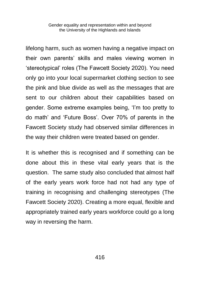lifelong harm, such as women having a negative impact on their own parents' skills and males viewing women in 'stereotypical' roles (The Fawcett Society 2020). You need only go into your local supermarket clothing section to see the pink and blue divide as well as the messages that are sent to our children about their capabilities based on gender. Some extreme examples being, 'I'm too pretty to do math' and 'Future Boss'. Over 70% of parents in the Fawcett Society study had observed similar differences in the way their children were treated based on gender.

It is whether this is recognised and if something can be done about this in these vital early years that is the question. The same study also concluded that almost half of the early years work force had not had any type of training in recognising and challenging stereotypes (The Fawcett Society 2020). Creating a more equal, flexible and appropriately trained early years workforce could go a long way in reversing the harm.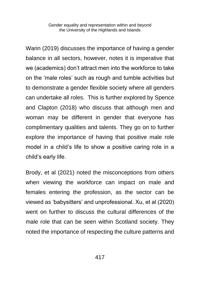Warin (2019) discusses the importance of having a gender balance in all sectors, however, notes it is imperative that we (academics) don't attract men into the workforce to take on the 'male roles' such as rough and tumble activities but to demonstrate a gender flexible society where all genders can undertake all roles. This is further explored by Spence and Clapton (2018) who discuss that although men and woman may be different in gender that everyone has complimentary qualities and talents. They go on to further explore the importance of having that positive male role model in a child's life to show a positive caring role in a child's early life.

Brody, et al (2021) noted the misconceptions from others when viewing the workforce can impact on male and females entering the profession, as the sector can be viewed as 'babysitters' and unprofessional. Xu, et al (2020) went on further to discuss the cultural differences of the male role that can be seen within Scotland society. They noted the importance of respecting the culture patterns and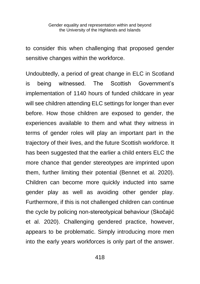to consider this when challenging that proposed gender sensitive changes within the workforce.

Undoubtedly, a period of great change in ELC in Scotland is being witnessed. The Scottish Government's implementation of 1140 hours of funded childcare in year will see children attending ELC settings for longer than ever before. How those children are exposed to gender, the experiences available to them and what they witness in terms of gender roles will play an important part in the trajectory of their lives, and the future Scottish workforce. It has been suggested that the earlier a child enters ELC the more chance that gender stereotypes are imprinted upon them, further limiting their potential (Bennet et al. 2020). Children can become more quickly inducted into same gender play as well as avoiding other gender play. Furthermore, if this is not challenged children can continue the cycle by policing non-stereotypical behaviour (Skočajić et al. 2020). Challenging gendered practice, however, appears to be problematic. Simply introducing more men into the early years workforces is only part of the answer.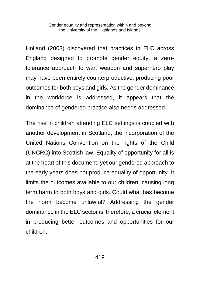Holland (2003) discovered that practices in ELC across England designed to promote gender equity, a zerotolerance approach to war, weapon and superhero play may have been entirely counterproductive, producing poor outcomes for both boys and girls. As the gender dominance in the workforce is addressed, it appears that the dominance of gendered practice also needs addressed.

The rise in children attending ELC settings is coupled with another development in Scotland, the incorporation of the United Nations Convention on the rights of the Child (UNCRC) into Scottish law. Equality of opportunity for all is at the heart of this document, yet our gendered approach to the early years does not produce equality of opportunity. It limits the outcomes available to our children, causing long term harm to both boys and girls. Could what has become the norm become unlawful? Addressing the gender dominance in the ELC sector is, therefore, a crucial element in producing better outcomes and opportunities for our children.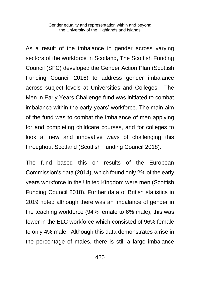As a result of the imbalance in gender across varying sectors of the workforce in Scotland, The Scottish Funding Council (SFC) developed the Gender Action Plan (Scottish Funding Council 2016) to address gender imbalance across subject levels at Universities and Colleges. The Men in Early Years Challenge fund was initiated to combat imbalance within the early years' workforce. The main aim of the fund was to combat the imbalance of men applying for and completing childcare courses, and for colleges to look at new and innovative ways of challenging this throughout Scotland (Scottish Funding Council 2018).

The fund based this on results of the European Commission's data (2014), which found only 2% of the early years workforce in the United Kingdom were men (Scottish Funding Council 2018). Further data of British statistics in 2019 noted although there was an imbalance of gender in the teaching workforce (94% female to 6% male); this was fewer in the ELC workforce which consisted of 96% female to only 4% male. Although this data demonstrates a rise in the percentage of males, there is still a large imbalance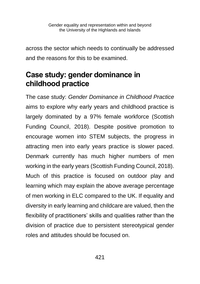across the sector which needs to continually be addressed and the reasons for this to be examined.

# **Case study: gender dominance in childhood practice**

The case study: *Gender Dominance in Childhood Practice* aims to explore why early years and childhood practice is largely dominated by a 97% female workforce (Scottish Funding Council, 2018). Despite positive promotion to encourage women into STEM subjects, the progress in attracting men into early years practice is slower paced. Denmark currently has much higher numbers of men working in the early years (Scottish Funding Council, 2018). Much of this practice is focused on outdoor play and learning which may explain the above average percentage of men working in ELC compared to the UK. If equality and diversity in early learning and childcare are valued, then the flexibility of practitioners' skills and qualities rather than the division of practice due to persistent stereotypical gender roles and attitudes should be focused on.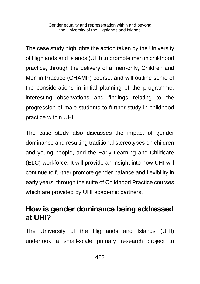The case study highlights the action taken by the University of Highlands and Islands (UHI) to promote men in childhood practice, through the delivery of a men-only, Children and Men in Practice (CHAMP) course, and will outline some of the considerations in initial planning of the programme, interesting observations and findings relating to the progression of male students to further study in childhood practice within UHI.

The case study also discusses the impact of gender dominance and resulting traditional stereotypes on children and young people, and the Early Learning and Childcare (ELC) workforce. It will provide an insight into how UHI will continue to further promote gender balance and flexibility in early years, through the suite of Childhood Practice courses which are provided by UHI academic partners.

## **How is gender dominance being addressed at UHI?**

The University of the Highlands and Islands (UHI) undertook a small-scale primary research project to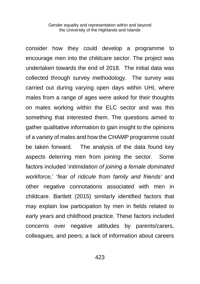consider how they could develop a programme to encourage men into the childcare sector. The project was undertaken towards the end of 2018. The initial data was collected through survey methodology. The survey was carried out during varying open days within UHI, where males from a range of ages were asked for their thoughts on males working within the ELC sector and was this something that interested them. The questions aimed to gather qualitative information to gain insight to the opinions of a variety of males and how the CHAMP programme could be taken forward. The analysis of the data found key aspects deterring men from joining the sector. Some factors included '*intimidation of joining a female dominated workforce,*' '*fear of ridicule from family and friends'* and other negative connotations associated with men in childcare. Bartlett (2015) similarly identified factors that may explain low participation by men in fields related to early years and childhood practice. These factors included concerns over negative attitudes by parents/carers, colleagues, and peers; a lack of information about careers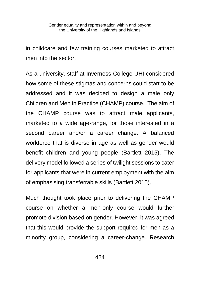in childcare and few training courses marketed to attract men into the sector.

As a university, staff at Inverness College UHI considered how some of these stigmas and concerns could start to be addressed and it was decided to design a male only Children and Men in Practice (CHAMP) course. The aim of the CHAMP course was to attract male applicants, marketed to a wide age-range, for those interested in a second career and/or a career change. A balanced workforce that is diverse in age as well as gender would benefit children and young people (Bartlett 2015). The delivery model followed a series of twilight sessions to cater for applicants that were in current employment with the aim of emphasising transferrable skills (Bartlett 2015).

Much thought took place prior to delivering the CHAMP course on whether a men-only course would further promote division based on gender. However, it was agreed that this would provide the support required for men as a minority group, considering a career-change. Research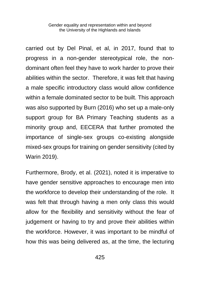carried out by Del Pinal, et al, in 2017, found that to progress in a non-gender stereotypical role, the nondominant often feel they have to work harder to prove their abilities within the sector. Therefore, it was felt that having a male specific introductory class would allow confidence within a female dominated sector to be built. This approach was also supported by Burn (2016) who set up a male-only support group for BA Primary Teaching students as a minority group and, EECERA that further promoted the importance of single-sex groups co-existing alongside mixed-sex groups for training on gender sensitivity (cited by Warin 2019).

Furthermore, Brody, et al. (2021), noted it is imperative to have gender sensitive approaches to encourage men into the workforce to develop their understanding of the role. It was felt that through having a men only class this would allow for the flexibility and sensitivity without the fear of judgement or having to try and prove their abilities within the workforce. However, it was important to be mindful of how this was being delivered as, at the time, the lecturing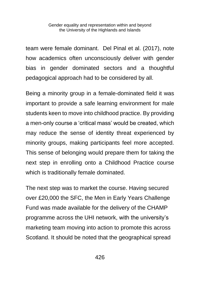team were female dominant. Del Pinal et al. (2017), note how academics often unconsciously deliver with gender bias in gender dominated sectors and a thoughtful pedagogical approach had to be considered by all.

Being a minority group in a female-dominated field it was important to provide a safe learning environment for male students keen to move into childhood practice. By providing a men-only course a 'critical mass' would be created, which may reduce the sense of identity threat experienced by minority groups, making participants feel more accepted. This sense of belonging would prepare them for taking the next step in enrolling onto a Childhood Practice course which is traditionally female dominated.

The next step was to market the course. Having secured over £20,000 the SFC, the Men in Early Years Challenge Fund was made available for the delivery of the CHAMP programme across the UHI network, with the university's marketing team moving into action to promote this across Scotland. It should be noted that the geographical spread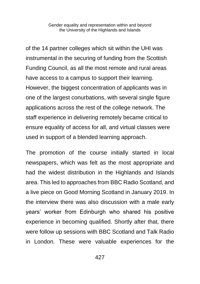of the 14 partner colleges which sit within the UHI was instrumental in the securing of funding from the Scottish Funding Council, as all the most remote and rural areas have access to a campus to support their learning. However, the biggest concentration of applicants was in one of the largest conurbations, with several single figure applications across the rest of the college network. The staff experience in delivering remotely became critical to ensure equality of access for all, and virtual classes were used in support of a blended learning approach.

The promotion of the course initially started in local newspapers, which was felt as the most appropriate and had the widest distribution in the Highlands and Islands area. This led to approaches from BBC Radio Scotland, and a live piece on Good Morning Scotland in January 2019. In the interview there was also discussion with a male early years' worker from Edinburgh who shared his positive experience in becoming qualified. Shortly after that, there were follow up sessions with BBC Scotland and Talk Radio in London. These were valuable experiences for the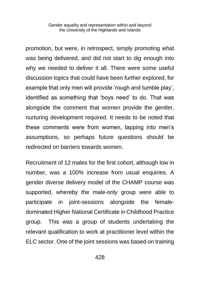promotion, but were, in retrospect, simply promoting what was being delivered, and did not start to dig enough into why we needed to deliver it all. There were some useful discussion topics that could have been further explored, for example that only men will provide 'rough and tumble play', identified as something that 'boys need' to do. That was alongside the comment that women provide the gentler, nurturing development required. It needs to be noted that these comments were from women, tapping into men's assumptions, so perhaps future questions should be redirected on barriers towards women.

Recruitment of 12 males for the first cohort, although low in number, was a 100% increase from usual enquiries. A gender diverse delivery model of the CHAMP course was supported, whereby the male-only group were able to participate in joint-sessions alongside the femaledominated Higher National Certificate in Childhood Practice group. This was a group of students undertaking the relevant qualification to work at practitioner level within the ELC sector. One of the joint sessions was based on training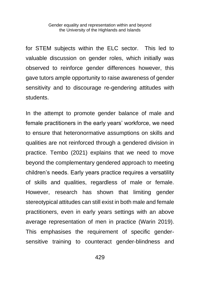for STEM subjects within the ELC sector. This led to valuable discussion on gender roles, which initially was observed to reinforce gender differences however, this gave tutors ample opportunity to raise awareness of gender sensitivity and to discourage re-gendering attitudes with students.

In the attempt to promote gender balance of male and female practitioners in the early years' workforce, we need to ensure that heteronormative assumptions on skills and qualities are not reinforced through a gendered division in practice. Tembo (2021) explains that we need to move beyond the complementary gendered approach to meeting children's needs. Early years practice requires a versatility of skills and qualities, regardless of male or female. However, research has shown that limiting gender stereotypical attitudes can still exist in both male and female practitioners, even in early years settings with an above average representation of men in practice (Warin 2019). This emphasises the requirement of specific gendersensitive training to counteract gender-blindness and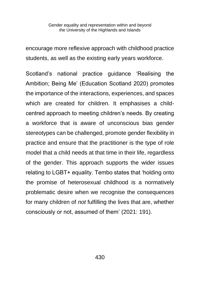encourage more reflexive approach with childhood practice students, as well as the existing early years workforce.

Scotland's national practice guidance 'Realising the Ambition; Being Me' (Education Scotland 2020) promotes the importance of the interactions, experiences, and spaces which are created for children. It emphasises a childcentred approach to meeting children's needs. By creating a workforce that is aware of unconscious bias gender stereotypes can be challenged, promote gender flexibility in practice and ensure that the practitioner is the type of role model that a child needs at that time in their life, regardless of the gender. This approach supports the wider issues relating to LGBT+ equality. Tembo states that 'holding onto the promise of heterosexual childhood is a normatively problematic desire when we recognise the consequences for many children of *not* fulfilling the lives that are, whether consciously or not, assumed of them' (2021: 191).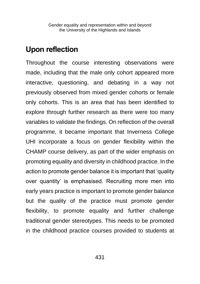## **Upon reflection**

Throughout the course interesting observations were made, including that the male only cohort appeared more interactive, questioning, and debating in a way not previously observed from mixed gender cohorts or female only cohorts. This is an area that has been identified to explore through further research as there were too many variables to validate the findings. On reflection of the overall programme, it became important that Inverness College UHI incorporate a focus on gender flexibility within the CHAMP course delivery, as part of the wider emphasis on promoting equality and diversity in childhood practice. In the action to promote gender balance it is important that 'quality over quantity' is emphasised. Recruiting more men into early years practice is important to promote gender balance but the quality of the practice must promote gender flexibility, to promote equality and further challenge traditional gender stereotypes. This needs to be promoted in the childhood practice courses provided to students at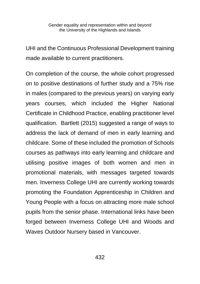UHI and the Continuous Professional Development training made available to current practitioners.

On completion of the course, the whole cohort progressed on to positive destinations of further study and a 75% rise in males (compared to the previous years) on varying early years courses, which included the Higher National Certificate in Childhood Practice, enabling practitioner level qualification. Bartlett (2015) suggested a range of ways to address the lack of demand of men in early learning and childcare. Some of these included the promotion of Schools courses as pathways into early learning and childcare and utilising positive images of both women and men in promotional materials, with messages targeted towards men. Inverness College UHI are currently working towards promoting the Foundation Apprenticeship in Children and Young People with a focus on attracting more male school pupils from the senior phase. International links have been forged between Inverness College UHI and Woods and Waves Outdoor Nursery based in Vancouver.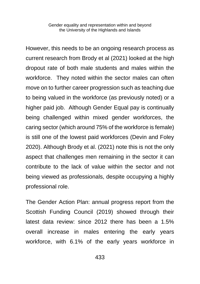However, this needs to be an ongoing research process as current research from Brody et al (2021) looked at the high dropout rate of both male students and males within the workforce. They noted within the sector males can often move on to further career progression such as teaching due to being valued in the workforce (as previously noted) or a higher paid job. Although Gender Equal pay is continually being challenged within mixed gender workforces, the caring sector (which around 75% of the workforce is female) is still one of the lowest paid workforces (Devin and Foley 2020). Although Brody et al. (2021) note this is not the only aspect that challenges men remaining in the sector it can contribute to the lack of value within the sector and not being viewed as professionals, despite occupying a highly professional role.

The Gender Action Plan: annual progress report from the Scottish Funding Council (2019) showed through their latest data review: since 2012 there has been a 1.5% overall increase in males entering the early years workforce, with 6.1% of the early years workforce in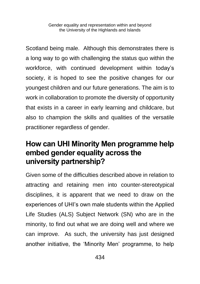Scotland being male. Although this demonstrates there is a long way to go with challenging the status quo within the workforce, with continued development within today's society, it is hoped to see the positive changes for our youngest children and our future generations. The aim is to work in collaboration to promote the diversity of opportunity that exists in a career in early learning and childcare, but also to champion the skills and qualities of the versatile practitioner regardless of gender.

## **How can UHI Minority Men programme help embed gender equality across the university partnership?**

Given some of the difficulties described above in relation to attracting and retaining men into counter-stereotypical disciplines, it is apparent that we need to draw on the experiences of UHI's own male students within the Applied Life Studies (ALS) Subject Network (SN) who are in the minority, to find out what we are doing well and where we can improve. As such, the university has just designed another initiative, the 'Minority Men' programme, to help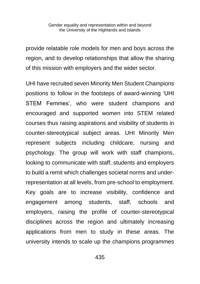provide relatable role models for men and boys across the region, and to develop relationships that allow the sharing of this mission with employers and the wider sector.

UHI have recruited seven Minority Men Student Champions positions to follow in the footsteps of award-winning 'UHI STEM Femmes', who were student champions and encouraged and supported women into STEM related courses thus raising aspirations and visibility of students in counter-stereotypical subject areas. UHI Minority Men represent subjects including childcare, nursing and psychology. The group will work with staff champions, looking to communicate with staff, students and employers to build a remit which challenges societal norms and underrepresentation at all levels, from pre-school to employment. Key goals are to increase visibility, confidence and engagement among students, staff, schools and employers, raising the profile of counter-stereotypical disciplines across the region and ultimately increasing applications from men to study in these areas. The university intends to scale up the champions programmes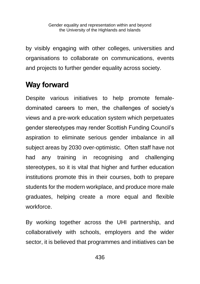by visibly engaging with other colleges, universities and organisations to collaborate on communications, events and projects to further gender equality across society.

# **Way forward**

Despite various initiatives to help promote femaledominated careers to men, the challenges of society's views and a pre-work education system which perpetuates gender stereotypes may render Scottish Funding Council's aspiration to eliminate serious gender imbalance in all subject areas by 2030 over-optimistic. Often staff have not had any training in recognising and challenging stereotypes, so it is vital that higher and further education institutions promote this in their courses, both to prepare students for the modern workplace, and produce more male graduates, helping create a more equal and flexible workforce.

By working together across the UHI partnership, and collaboratively with schools, employers and the wider sector, it is believed that programmes and initiatives can be

436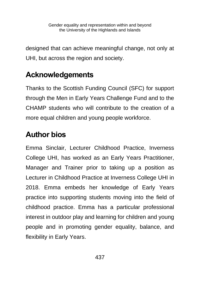designed that can achieve meaningful change, not only at UHI, but across the region and society.

# **Acknowledgements**

Thanks to the Scottish Funding Council (SFC) for support through the Men in Early Years Challenge Fund and to the CHAMP students who will contribute to the creation of a more equal children and young people workforce.

# **Author bios**

Emma Sinclair, Lecturer Childhood Practice, Inverness College UHI, has worked as an Early Years Practitioner, Manager and Trainer prior to taking up a position as Lecturer in Childhood Practice at Inverness College UHI in 2018. Emma embeds her knowledge of Early Years practice into supporting students moving into the field of childhood practice. Emma has a particular professional interest in outdoor play and learning for children and young people and in promoting gender equality, balance, and flexibility in Early Years.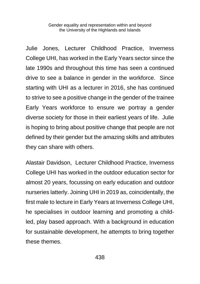Julie Jones, Lecturer Childhood Practice, Inverness College UHI, has worked in the Early Years sector since the late 1990s and throughout this time has seen a continued drive to see a balance in gender in the workforce. Since starting with UHI as a lecturer in 2016, she has continued to strive to see a positive change in the gender of the trainee Early Years workforce to ensure we portray a gender diverse society for those in their earliest years of life. Julie is hoping to bring about positive change that people are not defined by their gender but the amazing skills and attributes they can share with others.

Alastair Davidson, Lecturer Childhood Practice, Inverness College UHI has worked in the outdoor education sector for almost 20 years, focussing on early education and outdoor nurseries latterly. Joining UHI in 2019 as, coincidentally, the first male to lecture in Early Years at Inverness College UHI, he specialises in outdoor learning and promoting a childled, play based approach. With a background in education for sustainable development, he attempts to bring together these themes.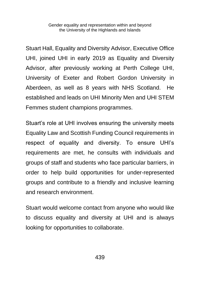Stuart Hall, Equality and Diversity Advisor, Executive Office UHI, joined UHI in early 2019 as Equality and Diversity Advisor, after previously working at Perth College UHI, University of Exeter and Robert Gordon University in Aberdeen, as well as 8 years with NHS Scotland. He established and leads on UHI Minority Men and UHI STEM Femmes student champions programmes.

Stuart's role at UHI involves ensuring the university meets Equality Law and Scottish Funding Council requirements in respect of equality and diversity. To ensure UHI's requirements are met, he consults with individuals and groups of staff and students who face particular barriers, in order to help build opportunities for under-represented groups and contribute to a friendly and inclusive learning and research environment.

Stuart would welcome contact from anyone who would like to discuss equality and diversity at UHI and is always looking for opportunities to collaborate.

439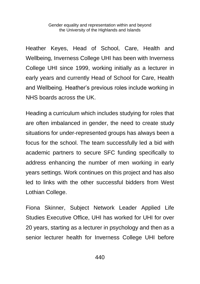Heather Keyes, Head of School, Care, Health and Wellbeing, Inverness College UHI has been with Inverness College UHI since 1999, working initially as a lecturer in early years and currently Head of School for Care, Health and Wellbeing. Heather's previous roles include working in NHS boards across the UK.

Heading a curriculum which includes studying for roles that are often imbalanced in gender, the need to create study situations for under-represented groups has always been a focus for the school. The team successfully led a bid with academic partners to secure SFC funding specifically to address enhancing the number of men working in early years settings. Work continues on this project and has also led to links with the other successful bidders from West Lothian College.

Fiona Skinner, Subject Network Leader Applied Life Studies Executive Office, UHI has worked for UHI for over 20 years, starting as a lecturer in psychology and then as a senior lecturer health for Inverness College UHI before

440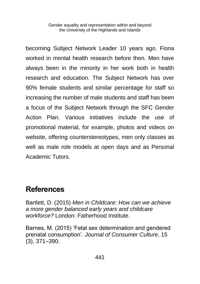becoming Subject Network Leader 10 years ago. Fiona worked in mental health research before then. Men have always been in the minority in her work both in health research and education. The Subject Network has over 90% female students and similar percentage for staff so increasing the number of male students and staff has been a focus of the Subject Network through the SFC Gender Action Plan. Various initiatives include the use of promotional material, for example, photos and videos on website, offering counterstereotypes, men only classes as well as male role models at open days and as Personal Academic Tutors.

## **References**

Bartlett, D. (2015) *Men in Childcare: How can we achieve a more gender balanced early years and childcare workforce?* London: Fatherhood Institute.

Barnes, M. (2015) 'Fetal sex determination and gendered prenatal consumption'. *Journal of Consumer Culture*, 15 (3), 371–390.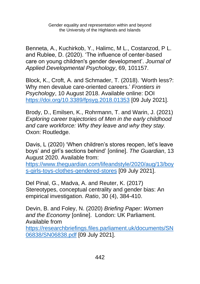Benneta, A., Kuchirkob, Y., Halimc, M L., Costanzod, P L. and Rublee, D. (2020). 'The influence of center-based care on young children's gender development'. *Journal of Applied Developmental Psychology*, 69, 101157.

Block, K., Croft, A. and Schmader, T. (2018). 'Worth less?: Why men devalue care-oriented careers.' *Frontiers in Psychology*, 10 August 2018. Available online: DOI <https://doi.org/10.3389/fpsyg.2018.01353> [09 July 2021].

Brody, D., Emilsen, K., Rohrmann, T. and Warin, J. (2021) *Exploring career trajectories of Men in the early childhood and care workforce: Why they leave and why they stay.*  Oxon: Routledge.

Davis, L (2020) 'When children's stores reopen, let's leave boys' and girl's sections behind' [online]. *The Guardian*, 13 August 2020. Available from:

[https://www.theguardian.com/lifeandstyle/2020/aug/13/boy](https://www.theguardian.com/lifeandstyle/2020/aug/13/boys-girls-toys-clothes-gendered-stores) [s-girls-toys-clothes-gendered-stores](https://www.theguardian.com/lifeandstyle/2020/aug/13/boys-girls-toys-clothes-gendered-stores) [09 July 2021].

Del Pinal, G., Madva, A. and Reuter, K. (2017) Stereotypes, conceptual centrality and gender bias: An empirical investigation. *Ratio*, 30 (4), 384-410.

Devin, B. and Foley, N. (2020) *Briefing Paper: Women and the Economy* [online]. London: UK Parliament. Available from

[https://researchbriefings.files.parliament.uk/documents/SN](https://researchbriefings.files.parliament.uk/documents/SN06838/SN06838.pdf) [06838/SN06838.pdf](https://researchbriefings.files.parliament.uk/documents/SN06838/SN06838.pdf) [09 July 2021].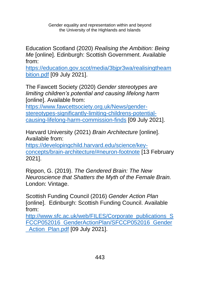Education Scotland (2020) *Realising the Ambition: Being Me* [online]. Edinburgh: Scottish Government. Available from:

[https://education.gov.scot/media/3bjpr3wa/realisingtheam](https://education.gov.scot/media/3bjpr3wa/realisingtheambition.pdf) [bition.pdf](https://education.gov.scot/media/3bjpr3wa/realisingtheambition.pdf) [09 July 2021].

The Fawcett Society (2020) *Gender stereotypes are limiting children's potential and causing lifelong harm* [online]. Available from:

[https://www.fawcettsociety.org.uk/News/gender](https://www.fawcettsociety.org.uk/News/gender-stereotypes-significantly-limiting-childrens-potential-causing-lifelong-harm-commission-finds%20%5b09)[stereotypes-significantly-limiting-childrens-potential](https://www.fawcettsociety.org.uk/News/gender-stereotypes-significantly-limiting-childrens-potential-causing-lifelong-harm-commission-finds%20%5b09)[causing-lifelong-harm-commission-finds](https://www.fawcettsociety.org.uk/News/gender-stereotypes-significantly-limiting-childrens-potential-causing-lifelong-harm-commission-finds%20%5b09) [09 July 2021].

Harvard University (2021) *Brain Architecture* [online]. Available from:

[https://developingchild.harvard.edu/science/key](https://developingchild.harvard.edu/science/key-concepts/brain-architecture/#neuron-footnote)[concepts/brain-architecture/#neuron-footnote](https://developingchild.harvard.edu/science/key-concepts/brain-architecture/#neuron-footnote) [13 February 2021].

Rippon, G. (2019). *The Gendered Brain: The New Neuroscience that Shatters the Myth of the Female Brain.* London: Vintage.

Scottish Funding Council (2016) *Gender Action Plan* [online]. Edinburgh: Scottish Funding Council. Available from:

[http://www.sfc.ac.uk/web/FILES/Corporate\\_publications\\_S](http://www.sfc.ac.uk/web/FILES/Corporate_publications_SFCCP052016_GenderActionPlan/SFCCP052016_Gender_Action_Plan.pdf) [FCCP052016\\_GenderActionPlan/SFCCP052016\\_Gender](http://www.sfc.ac.uk/web/FILES/Corporate_publications_SFCCP052016_GenderActionPlan/SFCCP052016_Gender_Action_Plan.pdf) Action Plan.pdf [09 July 2021].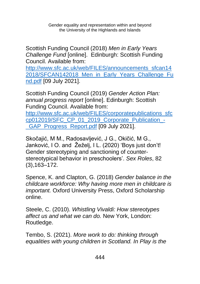Scottish Funding Council (2018) *Men in Early Years Challenge Fund* [online]. Edinburgh: Scottish Funding Council. Available from:

[http://www.sfc.ac.uk/web/FILES/announcements\\_sfcan14](http://www.sfc.ac.uk/web/FILES/announcements_sfcan142018/SFCAN142018_Men_in_Early_Years_Challenge_Fund.pdf) 2018/SFCAN142018 Men in Early Years Challenge Fu [nd.pdf](http://www.sfc.ac.uk/web/FILES/announcements_sfcan142018/SFCAN142018_Men_in_Early_Years_Challenge_Fund.pdf) [09 July 2021].

Scottish Funding Council (2019) *Gender Action Plan: annual progress report* [online]. Edinburgh: Scottish Funding Council. Available from: [http://www.sfc.ac.uk/web/FILES/corporatepublications\\_sfc](http://www.sfc.ac.uk/web/FILES/corporatepublications_sfccp012019/SFC_CP_01_2019_Corporate_Publication_-_GAP_Progress_Report.pdf) [cp012019/SFC\\_CP\\_01\\_2019\\_Corporate\\_Publication\\_-](http://www.sfc.ac.uk/web/FILES/corporatepublications_sfccp012019/SFC_CP_01_2019_Corporate_Publication_-_GAP_Progress_Report.pdf) GAP Progress Report.pdf [09 July 2021].

Skočajić, M M., Radosavljević, J G., Okičić, M G., Janković, I O. and Žeželj, I L. (2020) 'Boys just don't! Gender stereotyping and sanctioning of counterstereotypical behavior in preschoolers'. *Sex Roles*, 82 (3),163–172.

Spence, K. and Clapton, G. (2018) *Gender balance in the childcare workforce: Why having more men in childcare is important.* Oxford University Press, Oxford Scholarship online.

Steele, C. (2010). *Whistling Vivaldi: How stereotypes affect us and what we can do.* New York, London: Routledge.

Tembo, S. (2021). *More work to do: thinking through equalities with young children in Scotland. In Play is the*